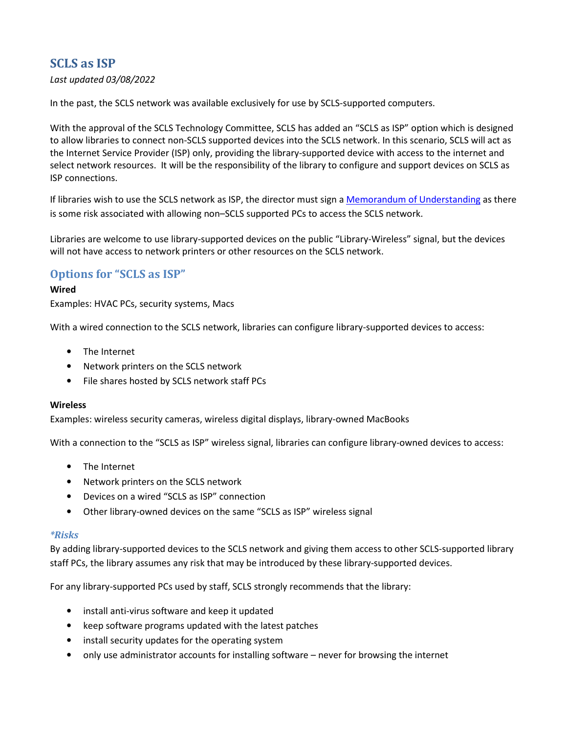# **SCLS as ISP**

## *Last updated 03/08/2022*

In the past, the SCLS network was available exclusively for use by SCLS-supported computers.

With the approval of the SCLS Technology Committee, SCLS has added an "SCLS as ISP" option which is designed to allow libraries to connect non-SCLS supported devices into the SCLS network. In this scenario, SCLS will act as the Internet Service Provider (ISP) only, providing the library-supported device with access to the internet and select network resources. It will be the responsibility of the library to configure and support devices on SCLS as ISP connections.

If libraries wish to use the SCLS network as ISP, the director must sign a Memorandum of Understanding as there is some risk associated with allowing non–SCLS supported PCs to access the SCLS network.

Libraries are welcome to use library-supported devices on the public "Library-Wireless" signal, but the devices will not have access to network printers or other resources on the SCLS network.

# **Options for "SCLS as ISP"**

### **Wired**

Examples: HVAC PCs, security systems, Macs

With a wired connection to the SCLS network, libraries can configure library-supported devices to access:

- The Internet
- Network printers on the SCLS network
- File shares hosted by SCLS network staff PCs

#### **Wireless**

Examples: wireless security cameras, wireless digital displays, library-owned MacBooks

With a connection to the "SCLS as ISP" wireless signal, libraries can configure library-owned devices to access:

- The Internet
- Network printers on the SCLS network
- Devices on a wired "SCLS as ISP" connection
- Other library-owned devices on the same "SCLS as ISP" wireless signal

#### *\*Risks*

By adding library-supported devices to the SCLS network and giving them access to other SCLS-supported library staff PCs, the library assumes any risk that may be introduced by these library-supported devices.

For any library-supported PCs used by staff, SCLS strongly recommends that the library:

- install anti-virus software and keep it updated
- keep software programs updated with the latest patches
- install security updates for the operating system
- only use administrator accounts for installing software never for browsing the internet